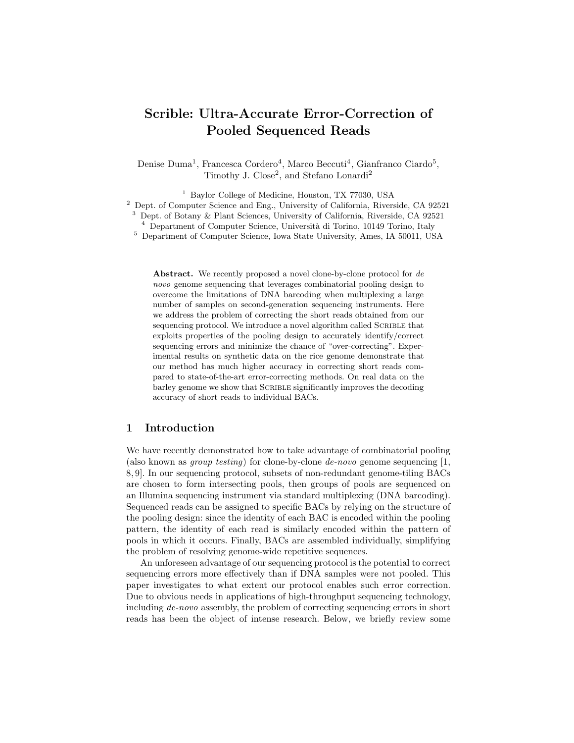# Scrible: Ultra-Accurate Error-Correction of Pooled Sequenced Reads

Denise Duma<sup>1</sup>, Francesca Cordero<sup>4</sup>, Marco Beccuti<sup>4</sup>, Gianfranco Ciardo<sup>5</sup>, Timothy J. Close<sup>2</sup>, and Stefano Lonardi<sup>2</sup>

<sup>1</sup> Baylor College of Medicine, Houston, TX 77030, USA

<sup>2</sup> Dept. of Computer Science and Eng., University of California, Riverside, CA 92521

<sup>3</sup> Dept. of Botany & Plant Sciences, University of California, Riverside, CA 92521

 $4$  Department of Computer Science, Università di Torino, 10149 Torino, Italy

<sup>5</sup> Department of Computer Science, Iowa State University, Ames, IA 50011, USA

Abstract. We recently proposed a novel clone-by-clone protocol for de novo genome sequencing that leverages combinatorial pooling design to overcome the limitations of DNA barcoding when multiplexing a large number of samples on second-generation sequencing instruments. Here we address the problem of correcting the short reads obtained from our sequencing protocol. We introduce a novel algorithm called SCRIBLE that exploits properties of the pooling design to accurately identify/correct sequencing errors and minimize the chance of "over-correcting". Experimental results on synthetic data on the rice genome demonstrate that our method has much higher accuracy in correcting short reads compared to state-of-the-art error-correcting methods. On real data on the barley genome we show that SCRIBLE significantly improves the decoding accuracy of short reads to individual BACs.

## 1 Introduction

We have recently demonstrated how to take advantage of combinatorial pooling (also known as *group testing*) for clone-by-clone *de-novo* genome sequencing  $[1,$ 8, 9]. In our sequencing protocol, subsets of non-redundant genome-tiling BACs are chosen to form intersecting pools, then groups of pools are sequenced on an Illumina sequencing instrument via standard multiplexing (DNA barcoding). Sequenced reads can be assigned to specific BACs by relying on the structure of the pooling design: since the identity of each BAC is encoded within the pooling pattern, the identity of each read is similarly encoded within the pattern of pools in which it occurs. Finally, BACs are assembled individually, simplifying the problem of resolving genome-wide repetitive sequences.

An unforeseen advantage of our sequencing protocol is the potential to correct sequencing errors more effectively than if DNA samples were not pooled. This paper investigates to what extent our protocol enables such error correction. Due to obvious needs in applications of high-throughput sequencing technology, including de-novo assembly, the problem of correcting sequencing errors in short reads has been the object of intense research. Below, we briefly review some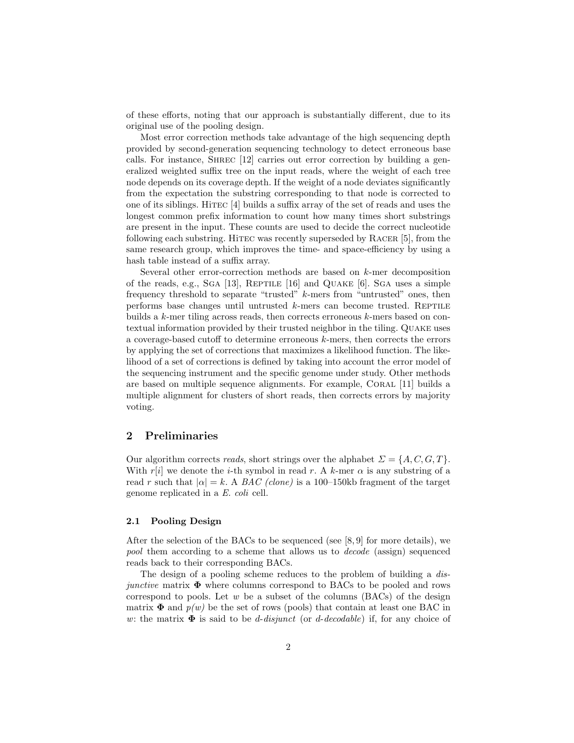of these efforts, noting that our approach is substantially different, due to its original use of the pooling design.

Most error correction methods take advantage of the high sequencing depth provided by second-generation sequencing technology to detect erroneous base calls. For instance, Shrec [12] carries out error correction by building a generalized weighted suffix tree on the input reads, where the weight of each tree node depends on its coverage depth. If the weight of a node deviates significantly from the expectation the substring corresponding to that node is corrected to one of its siblings. Hitec [4] builds a suffix array of the set of reads and uses the longest common prefix information to count how many times short substrings are present in the input. These counts are used to decide the correct nucleotide following each substring. Hitec was recently superseded by Racer [5], from the same research group, which improves the time- and space-efficiency by using a hash table instead of a suffix array.

Several other error-correction methods are based on k-mer decomposition of the reads, e.g., Sga [13], Reptile [16] and Quake [6]. Sga uses a simple frequency threshold to separate "trusted" k-mers from "untrusted" ones, then performs base changes until untrusted  $k$ -mers can become trusted. REPTILE builds a  $k$ -mer tiling across reads, then corrects erroneous  $k$ -mers based on contextual information provided by their trusted neighbor in the tiling. Quake uses a coverage-based cutoff to determine erroneous k-mers, then corrects the errors by applying the set of corrections that maximizes a likelihood function. The likelihood of a set of corrections is defined by taking into account the error model of the sequencing instrument and the specific genome under study. Other methods are based on multiple sequence alignments. For example, CORAL [11] builds a multiple alignment for clusters of short reads, then corrects errors by majority voting.

## 2 Preliminaries

Our algorithm corrects reads, short strings over the alphabet  $\Sigma = \{A, C, G, T\}.$ With r[i] we denote the i-th symbol in read r. A k-mer  $\alpha$  is any substring of a read r such that  $|\alpha| = k$ . A BAC (clone) is a 100–150kb fragment of the target genome replicated in a E. coli cell.

### 2.1 Pooling Design

After the selection of the BACs to be sequenced (see  $[8, 9]$  for more details), we pool them according to a scheme that allows us to decode (assign) sequenced reads back to their corresponding BACs.

The design of a pooling scheme reduces to the problem of building a dis*junctive* matrix  $\Phi$  where columns correspond to BACs to be pooled and rows correspond to pools. Let w be a subset of the columns  $(BACs)$  of the design matrix  $\Phi$  and  $p(w)$  be the set of rows (pools) that contain at least one BAC in w: the matrix  $\Phi$  is said to be *d*-disjunct (or *d*-decodable) if, for any choice of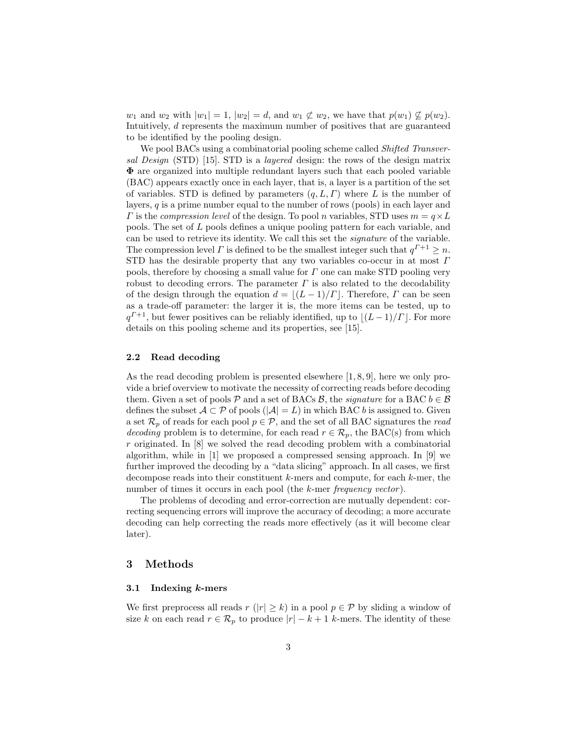$w_1$  and  $w_2$  with  $|w_1| = 1$ ,  $|w_2| = d$ , and  $w_1 \not\subset w_2$ , we have that  $p(w_1) \not\subset p(w_2)$ . Intuitively, d represents the maximum number of positives that are guaranteed to be identified by the pooling design.

We pool BACs using a combinatorial pooling scheme called *Shifted Transver*sal Design (STD) [15]. STD is a layered design: the rows of the design matrix Φ are organized into multiple redundant layers such that each pooled variable (BAC) appears exactly once in each layer, that is, a layer is a partition of the set of variables. STD is defined by parameters  $(q, L, \Gamma)$  where L is the number of layers, q is a prime number equal to the number of rows (pools) in each layer and  $\Gamma$  is the *compression level* of the design. To pool *n* variables, STD uses  $m = q \times L$ pools. The set of L pools defines a unique pooling pattern for each variable, and can be used to retrieve its identity. We call this set the signature of the variable. The compression level  $\Gamma$  is defined to be the smallest integer such that  $q^{\Gamma+1} \geq n$ . STD has the desirable property that any two variables co-occur in at most  $\Gamma$ pools, therefore by choosing a small value for  $\Gamma$  one can make STD pooling very robust to decoding errors. The parameter  $\Gamma$  is also related to the decodability of the design through the equation  $d = |(L-1)/\Gamma|$ . Therefore,  $\Gamma$  can be seen as a trade-off parameter: the larger it is, the more items can be tested, up to  $q^{T+1}$ , but fewer positives can be reliably identified, up to  $\lfloor (L-1)/\Gamma \rfloor$ . For more details on this pooling scheme and its properties, see [15].

#### 2.2 Read decoding

As the read decoding problem is presented elsewhere [1, 8, 9], here we only provide a brief overview to motivate the necessity of correcting reads before decoding them. Given a set of pools P and a set of BACs B, the *signature* for a BAC  $b \in \mathcal{B}$ defines the subset  $A \subset \mathcal{P}$  of pools  $(|A| = L)$  in which BAC b is assigned to. Given a set  $\mathcal{R}_p$  of reads for each pool  $p \in \mathcal{P}$ , and the set of all BAC signatures the read decoding problem is to determine, for each read  $r \in \mathcal{R}_p$ , the BAC(s) from which  $r$  originated. In  $[8]$  we solved the read decoding problem with a combinatorial algorithm, while in [1] we proposed a compressed sensing approach. In [9] we further improved the decoding by a "data slicing" approach. In all cases, we first decompose reads into their constituent  $k$ -mers and compute, for each  $k$ -mer, the number of times it occurs in each pool (the k-mer *frequency vector*).

The problems of decoding and error-correction are mutually dependent: correcting sequencing errors will improve the accuracy of decoding; a more accurate decoding can help correcting the reads more effectively (as it will become clear later).

## 3 Methods

### 3.1 Indexing k-mers

We first preprocess all reads  $r(|r| \geq k)$  in a pool  $p \in \mathcal{P}$  by sliding a window of size k on each read  $r \in \mathcal{R}_p$  to produce  $|r| - k + 1$  k-mers. The identity of these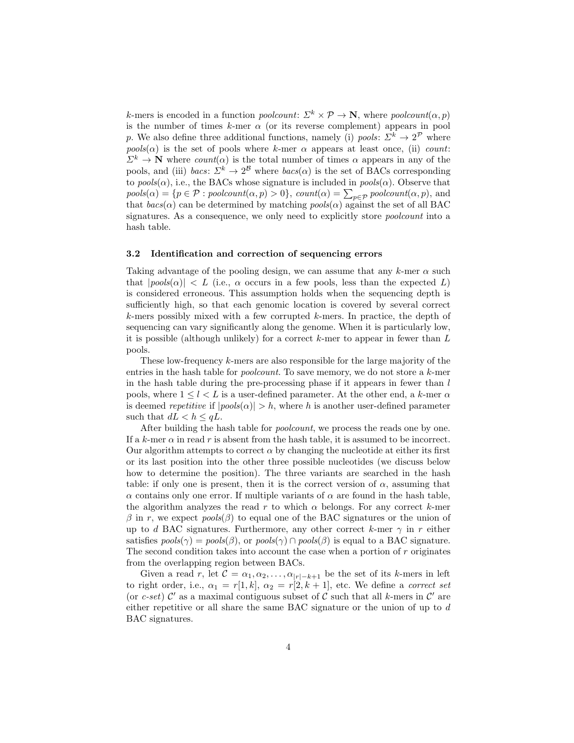k-mers is encoded in a function *poolcount*:  $\Sigma^k \times \mathcal{P} \to \mathbf{N}$ , where *poolcount*( $\alpha$ , p) is the number of times  $k$ -mer  $\alpha$  (or its reverse complement) appears in pool p. We also define three additional functions, namely (i) pools:  $\Sigma^k \to 2^{\mathcal{P}}$  where  $pools(\alpha)$  is the set of pools where k-mer  $\alpha$  appears at least once, (ii) count:  $\Sigma^k \to \mathbb{N}$  where  $count(\alpha)$  is the total number of times  $\alpha$  appears in any of the pools, and (iii)  $bacs \colon \Sigma^k \to 2^k$  where  $bacs(\alpha)$  is the set of BACs corresponding to  $pools(\alpha)$ , i.e., the BACs whose signature is included in  $pools(\alpha)$ . Observe that  $pools(\alpha) = \{p \in \mathcal{P} : poolcount(\alpha, p) > 0\},\ count(\alpha) = \sum_{p \in \mathcal{P}} poolcount(\alpha, p),$  and that  $bacs(\alpha)$  can be determined by matching  $pools(\alpha)$  against the set of all BAC signatures. As a consequence, we only need to explicitly store *poolcount* into a hash table.

#### 3.2 Identification and correction of sequencing errors

Taking advantage of the pooling design, we can assume that any k-mer  $\alpha$  such that  $|pools(\alpha)| \le L$  (i.e.,  $\alpha$  occurs in a few pools, less than the expected L) is considered erroneous. This assumption holds when the sequencing depth is sufficiently high, so that each genomic location is covered by several correct k-mers possibly mixed with a few corrupted k-mers. In practice, the depth of sequencing can vary significantly along the genome. When it is particularly low, it is possible (although unlikely) for a correct  $k$ -mer to appear in fewer than  $L$ pools.

These low-frequency  $k$ -mers are also responsible for the large majority of the entries in the hash table for *poolcount*. To save memory, we do not store a k-mer in the hash table during the pre-processing phase if it appears in fewer than  $l$ pools, where  $1 \leq l \leq L$  is a user-defined parameter. At the other end, a k-mer  $\alpha$ is deemed repetitive if  $|pools(\alpha)| > h$ , where h is another user-defined parameter such that  $dL < h \leq qL$ .

After building the hash table for poolcount, we process the reads one by one. If a k-mer  $\alpha$  in read r is absent from the hash table, it is assumed to be incorrect. Our algorithm attempts to correct  $\alpha$  by changing the nucleotide at either its first or its last position into the other three possible nucleotides (we discuss below how to determine the position). The three variants are searched in the hash table: if only one is present, then it is the correct version of  $\alpha$ , assuming that  $\alpha$  contains only one error. If multiple variants of  $\alpha$  are found in the hash table, the algorithm analyzes the read r to which  $\alpha$  belongs. For any correct k-mer β in r, we expect  $pools(β)$  to equal one of the BAC signatures or the union of up to d BAC signatures. Furthermore, any other correct k-mer  $\gamma$  in r either satisfies  $pools(\gamma) = pools(\beta)$ , or  $pools(\gamma) \cap pools(\beta)$  is equal to a BAC signature. The second condition takes into account the case when a portion of r originates from the overlapping region between BACs.

Given a read r, let  $C = \alpha_1, \alpha_2, \ldots, \alpha_{|r|-k+1}$  be the set of its k-mers in left to right order, i.e.,  $\alpha_1 = r[1, k], \alpha_2 = r[2, k + 1],$  etc. We define a *correct set* (or c-set)  $\mathcal{C}'$  as a maximal contiguous subset of  $\mathcal C$  such that all k-mers in  $\mathcal{C}'$  are either repetitive or all share the same BAC signature or the union of up to d BAC signatures.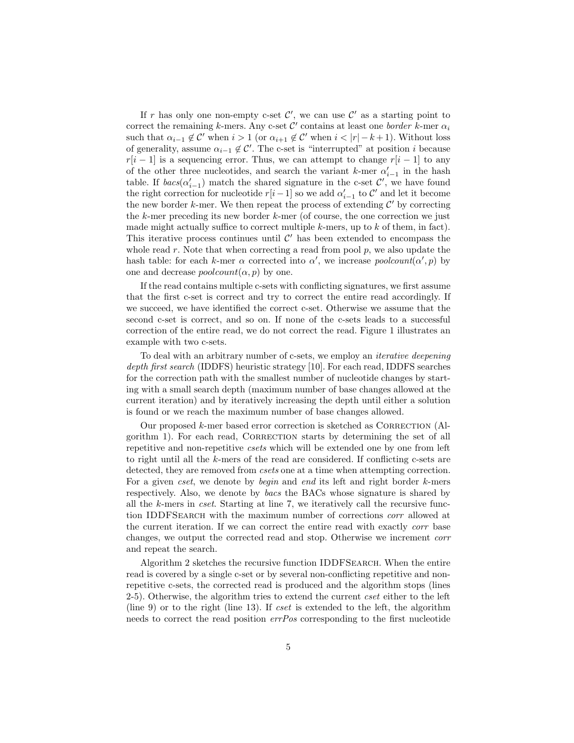If r has only one non-empty c-set  $\mathcal{C}'$ , we can use  $\mathcal{C}'$  as a starting point to correct the remaining k-mers. Any c-set  $\mathcal{C}'$  contains at least one *border* k-mer  $\alpha_i$ such that  $\alpha_{i-1} \notin \mathcal{C}'$  when  $i > 1$  (or  $\alpha_{i+1} \notin \mathcal{C}'$  when  $i < |r| - k + 1$ ). Without loss of generality, assume  $\alpha_{i-1} \notin \mathcal{C}'$ . The c-set is "interrupted" at position *i* because  $r[i - 1]$  is a sequencing error. Thus, we can attempt to change  $r[i - 1]$  to any of the other three nucleotides, and search the variant k-mer  $\alpha'_{i-1}$  in the hash table. If  $base(\alpha'_{i-1})$  match the shared signature in the c-set  $\mathcal{C}'$ , we have found the right correction for nucleotide  $r[i-1]$  so we add  $\alpha'_{i-1}$  to  $\mathcal{C}'$  and let it become the new border  $k$ -mer. We then repeat the process of extending  $\mathcal{C}'$  by correcting the  $k$ -mer preceding its new border  $k$ -mer (of course, the one correction we just made might actually suffice to correct multiple  $k$ -mers, up to  $k$  of them, in fact). This iterative process continues until  $\mathcal{C}'$  has been extended to encompass the whole read  $r$ . Note that when correcting a read from pool  $p$ , we also update the hash table: for each k-mer  $\alpha$  corrected into  $\alpha'$ , we increase poolcount $(\alpha', p)$  by one and decrease  $poolcount(\alpha, p)$  by one.

If the read contains multiple c-sets with conflicting signatures, we first assume that the first c-set is correct and try to correct the entire read accordingly. If we succeed, we have identified the correct c-set. Otherwise we assume that the second c-set is correct, and so on. If none of the c-sets leads to a successful correction of the entire read, we do not correct the read. Figure 1 illustrates an example with two c-sets.

To deal with an arbitrary number of c-sets, we employ an iterative deepening depth first search (IDDFS) heuristic strategy [10]. For each read, IDDFS searches for the correction path with the smallest number of nucleotide changes by starting with a small search depth (maximum number of base changes allowed at the current iteration) and by iteratively increasing the depth until either a solution is found or we reach the maximum number of base changes allowed.

Our proposed  $k$ -mer based error correction is sketched as CORRECTION (Algorithm 1). For each read, CORRECTION starts by determining the set of all repetitive and non-repetitive *csets* which will be extended one by one from left to right until all the k-mers of the read are considered. If conflicting c-sets are detected, they are removed from csets one at a time when attempting correction. For a given *cset*, we denote by *begin* and *end* its left and right border k-mers respectively. Also, we denote by bacs the BACs whose signature is shared by all the k-mers in cset. Starting at line 7, we iteratively call the recursive function IDDFSearch with the maximum number of corrections corr allowed at the current iteration. If we can correct the entire read with exactly corr base changes, we output the corrected read and stop. Otherwise we increment corr and repeat the search.

Algorithm 2 sketches the recursive function IDDFSearch. When the entire read is covered by a single c-set or by several non-conflicting repetitive and nonrepetitive c-sets, the corrected read is produced and the algorithm stops (lines 2-5). Otherwise, the algorithm tries to extend the current cset either to the left (line 9) or to the right (line 13). If *cset* is extended to the left, the algorithm needs to correct the read position errPos corresponding to the first nucleotide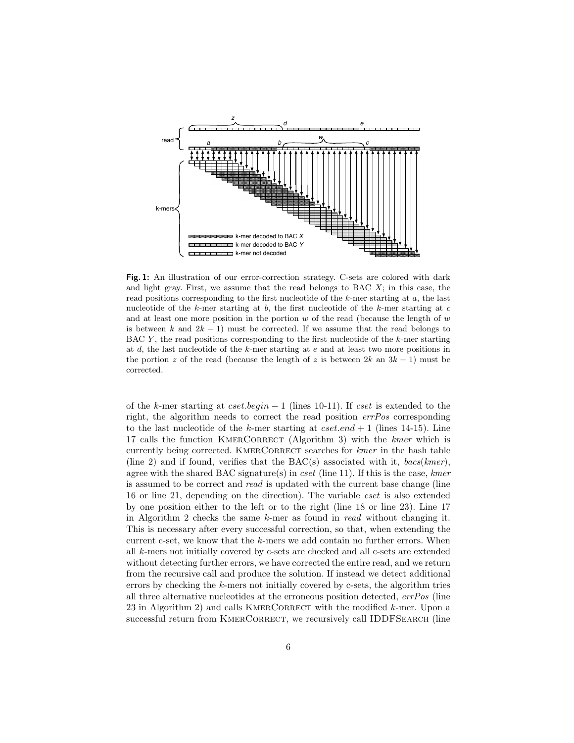

Fig. 1: An illustration of our error-correction strategy. C-sets are colored with dark and light gray. First, we assume that the read belongs to BAC  $X$ ; in this case, the read positions corresponding to the first nucleotide of the  $k$ -mer starting at  $a$ , the last nucleotide of the  $k$ -mer starting at  $b$ , the first nucleotide of the  $k$ -mer starting at  $c$ and at least one more position in the portion  $w$  of the read (because the length of  $w$ is between k and  $2k - 1$ ) must be corrected. If we assume that the read belongs to BAC  $Y$ , the read positions corresponding to the first nucleotide of the  $k$ -mer starting at d, the last nucleotide of the k-mer starting at  $e$  and at least two more positions in the portion z of the read (because the length of z is between  $2k$  an  $3k - 1$ ) must be corrected.

of the k-mer starting at cset.begin – 1 (lines 10-11). If cset is extended to the right, the algorithm needs to correct the read position errPos corresponding to the last nucleotide of the k-mer starting at  $cset.end + 1$  (lines 14-15). Line 17 calls the function KMERCORRECT (Algorithm 3) with the kmer which is currently being corrected. KMERCORRECT searches for *kmer* in the hash table (line 2) and if found, verifies that the  $BAC(s)$  associated with it,  $base( kmer),$ agree with the shared BAC signature(s) in *cset* (line 11). If this is the case, kmer is assumed to be correct and read is updated with the current base change (line 16 or line 21, depending on the direction). The variable cset is also extended by one position either to the left or to the right (line 18 or line 23). Line 17 in Algorithm 2 checks the same  $k$ -mer as found in read without changing it. This is necessary after every successful correction, so that, when extending the current c-set, we know that the  $k$ -mers we add contain no further errors. When all k-mers not initially covered by c-sets are checked and all c-sets are extended without detecting further errors, we have corrected the entire read, and we return from the recursive call and produce the solution. If instead we detect additional errors by checking the k-mers not initially covered by c-sets, the algorithm tries all three alternative nucleotides at the erroneous position detected, errPos (line 23 in Algorithm 2) and calls KMERCORRECT with the modified  $k$ -mer. Upon a successful return from KMERCORRECT, we recursively call IDDFSEARCH (line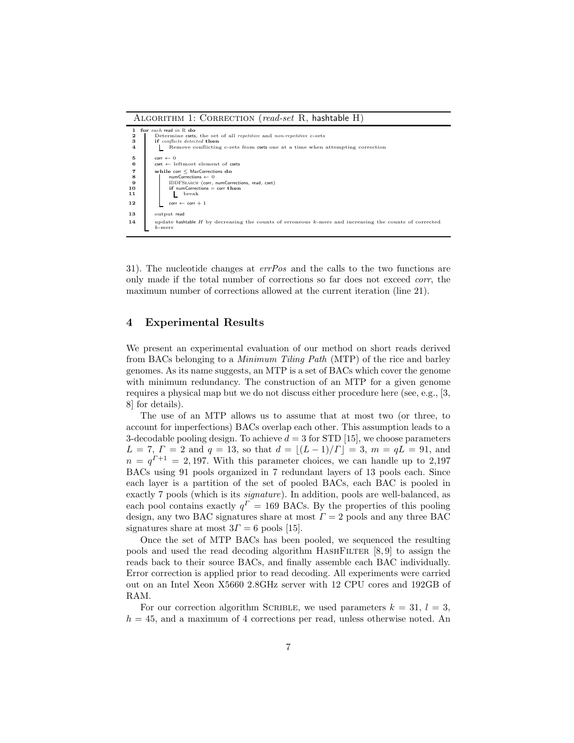#### ALGORITHM 1: CORRECTION (read-set R, hashtable H)



31). The nucleotide changes at errPos and the calls to the two functions are only made if the total number of corrections so far does not exceed corr, the maximum number of corrections allowed at the current iteration (line 21).

## 4 Experimental Results

We present an experimental evaluation of our method on short reads derived from BACs belonging to a Minimum Tiling Path (MTP) of the rice and barley genomes. As its name suggests, an MTP is a set of BACs which cover the genome with minimum redundancy. The construction of an MTP for a given genome requires a physical map but we do not discuss either procedure here (see, e.g., [3, 8] for details).

The use of an MTP allows us to assume that at most two (or three, to account for imperfections) BACs overlap each other. This assumption leads to a 3-decodable pooling design. To achieve  $d = 3$  for STD [15], we choose parameters  $L = 7, \Gamma = 2$  and  $q = 13$ , so that  $d = |(L-1)/\Gamma| = 3, m = qL = 91$ , and  $n = q^{T+1} = 2{,}197$ . With this parameter choices, we can handle up to 2,197 BACs using 91 pools organized in 7 redundant layers of 13 pools each. Since each layer is a partition of the set of pooled BACs, each BAC is pooled in exactly 7 pools (which is its signature). In addition, pools are well-balanced, as each pool contains exactly  $q^T = 169$  BACs. By the properties of this pooling design, any two BAC signatures share at most  $\Gamma = 2$  pools and any three BAC signatures share at most  $3\Gamma = 6$  pools [15].

Once the set of MTP BACs has been pooled, we sequenced the resulting pools and used the read decoding algorithm HASHFILTER  $[8, 9]$  to assign the reads back to their source BACs, and finally assemble each BAC individually. Error correction is applied prior to read decoding. All experiments were carried out on an Intel Xeon X5660 2.8GHz server with 12 CPU cores and 192GB of RAM.

For our correction algorithm SCRIBLE, we used parameters  $k = 31, l = 3$ ,  $h = 45$ , and a maximum of 4 corrections per read, unless otherwise noted. An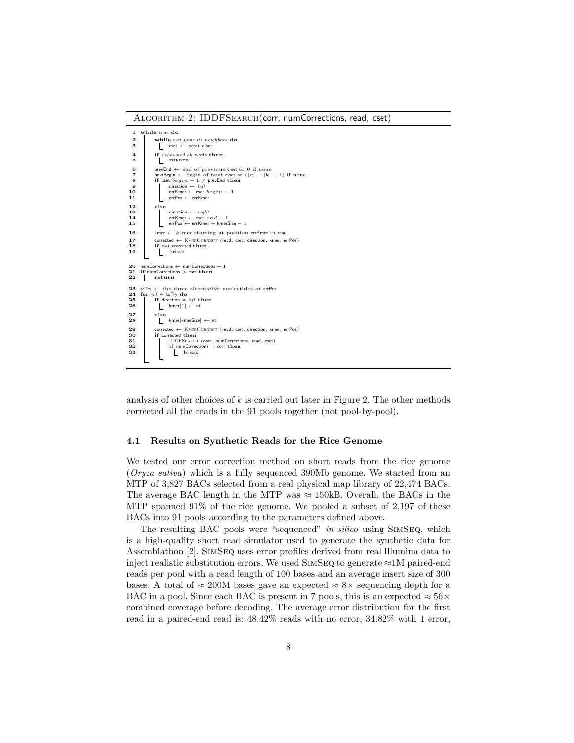ALGORITHM 2: IDDFSEARCH(corr, numCorrections, read, cset)



analysis of other choices of  $k$  is carried out later in Figure 2. The other methods corrected all the reads in the 91 pools together (not pool-by-pool).

#### 4.1 Results on Synthetic Reads for the Rice Genome

We tested our error correction method on short reads from the rice genome (Oryza sativa) which is a fully sequenced 390Mb genome. We started from an MTP of 3,827 BACs selected from a real physical map library of 22,474 BACs. The average BAC length in the MTP was  $\approx 150$ kB. Overall, the BACs in the MTP spanned 91% of the rice genome. We pooled a subset of 2,197 of these BACs into 91 pools according to the parameters defined above.

The resulting BAC pools were "sequenced" in silico using SimSeq, which is a high-quality short read simulator used to generate the synthetic data for Assemblathon [2]. SimSeq uses error profiles derived from real Illumina data to inject realistic substitution errors. We used SimSeq to generate ≈1M paired-end reads per pool with a read length of 100 bases and an average insert size of 300 bases. A total of  $\approx 200M$  bases gave an expected  $\approx 8 \times$  sequencing depth for a BAC in a pool. Since each BAC is present in 7 pools, this is an expected  $\approx 56 \times$ combined coverage before decoding. The average error distribution for the first read in a paired-end read is: 48.42% reads with no error, 34.82% with 1 error,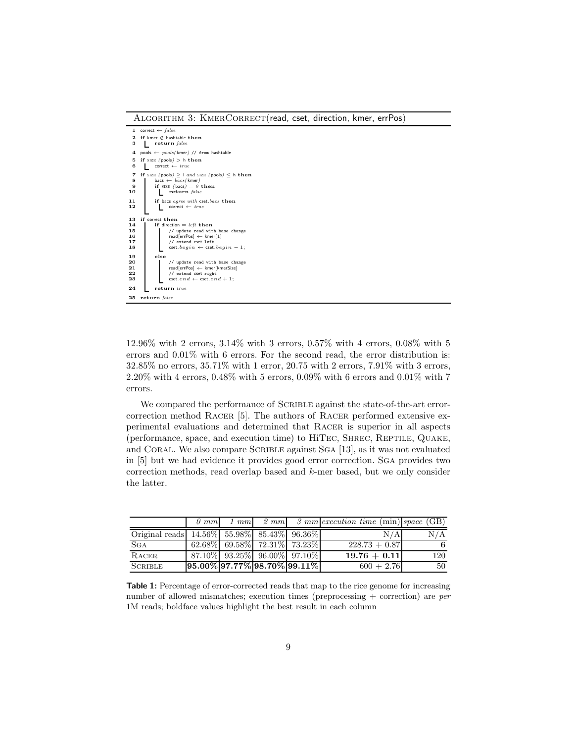

12.96% with 2 errors, 3.14% with 3 errors, 0.57% with 4 errors, 0.08% with 5 errors and  $0.01\%$  with 6 errors. For the second read, the error distribution is: 32.85% no errors, 35.71% with 1 error, 20.75 with 2 errors, 7.91% with 3 errors,  $2.20\%$  with 4 errors,  $0.48\%$  with 5 errors,  $0.09\%$  with 6 errors and  $0.01\%$  with 7 errors.

We compared the performance of SCRIBLE against the state-of-the-art errorcorrection method Racer [5]. The authors of Racer performed extensive experimental evaluations and determined that Racer is superior in all aspects (performance, space, and execution time) to HiTEC, SHREC, REPTILE, QUAKE, and CORAL. We also compare SCRIBLE against SGA [13], as it was not evaluated in [5] but we had evidence it provides good error correction. Sga provides two correction methods, read overlap based and k-mer based, but we only consider the latter.

|                                            |                                                                       |                                                                                                      |  | $\lvert 0 \rvert m m \rvert$ $\lvert 1 \rvert m m \rvert$ $\lvert 2 \rvert m m \rvert$ $\lvert 3 \rvert m m$ $\lvert 4 \rvert m m$ $\lvert 5 \rvert m m$ $\lvert 5 \rvert m m$ |     |
|--------------------------------------------|-----------------------------------------------------------------------|------------------------------------------------------------------------------------------------------|--|--------------------------------------------------------------------------------------------------------------------------------------------------------------------------------|-----|
| Original reads 14.56% 55.98% 85.43% 96.36% |                                                                       |                                                                                                      |  | N/A                                                                                                                                                                            | N/A |
| $_{\rm SGA}$                               |                                                                       | $62.68\%$ 69.58\% 72.31\% 73.23\% 73.23\% 73.23\% 0.58\% 72.31\% 73.23\% 73.23\% 0.58\% 73.23\% 0.59 |  | $228.73 + 0.87$                                                                                                                                                                | 6   |
| <b>RACER</b>                               |                                                                       | $87.10\%$ 93.25% 96.00% 97.10%                                                                       |  | $19.76 + 0.11$                                                                                                                                                                 | 120 |
| <b>SCRIBLE</b>                             | $\left 95.00\% \right  97.77\% \left 98.70\% \right  99.11\% \right $ |                                                                                                      |  | $600 + 2.76$                                                                                                                                                                   | 50  |

Table 1: Percentage of error-corrected reads that map to the rice genome for increasing number of allowed mismatches; execution times (preprocessing + correction) are *per* 1M reads; boldface values highlight the best result in each column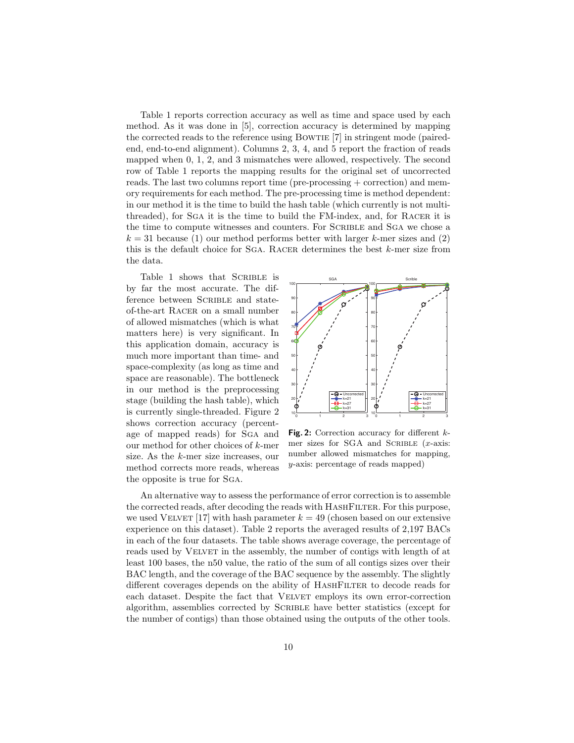Table 1 reports correction accuracy as well as time and space used by each method. As it was done in [5], correction accuracy is determined by mapping the corrected reads to the reference using Bowtie [7] in stringent mode (pairedend, end-to-end alignment). Columns 2, 3, 4, and 5 report the fraction of reads mapped when 0, 1, 2, and 3 mismatches were allowed, respectively. The second row of Table 1 reports the mapping results for the original set of uncorrected reads. The last two columns report time (pre-processing + correction) and memory requirements for each method. The pre-processing time is method dependent: in our method it is the time to build the hash table (which currently is not multithreaded), for Sga it is the time to build the FM-index, and, for Racer it is the time to compute witnesses and counters. For SCRIBLE and SGA we chose a  $k = 31$  because (1) our method performs better with larger k-mer sizes and (2) this is the default choice for SGA. RACER determines the best  $k$ -mer size from the data.

Table 1 shows that SCRIBLE is by far the most accurate. The difference between SCRIBLE and stateof-the-art Racer on a small number of allowed mismatches (which is what matters here) is very significant. In this application domain, accuracy is much more important than time- and space-complexity (as long as time and space are reasonable). The bottleneck in our method is the preprocessing stage (building the hash table), which is currently single-threaded. Figure 2 shows correction accuracy (percentage of mapped reads) for Sga and our method for other choices of k-mer size. As the k-mer size increases, our method corrects more reads, whereas the opposite is true for Sga.



Fig. 2: Correction accuracy for different  $k$ mer sizes for SGA and SCRIBLE  $(x\text{-axis})$ : number allowed mismatches for mapping, y-axis: percentage of reads mapped)

An alternative way to assess the performance of error correction is to assemble the corrected reads, after decoding the reads with HASHFILTER. For this purpose, we used VELVET [17] with hash parameter  $k = 49$  (chosen based on our extensive experience on this dataset). Table 2 reports the averaged results of 2,197 BACs in each of the four datasets. The table shows average coverage, the percentage of reads used by VELVET in the assembly, the number of contigs with length of at least 100 bases, the n50 value, the ratio of the sum of all contigs sizes over their BAC length, and the coverage of the BAC sequence by the assembly. The slightly different coverages depends on the ability of HASHFILTER to decode reads for each dataset. Despite the fact that VELVET employs its own error-correction algorithm, assemblies corrected by Scrible have better statistics (except for the number of contigs) than those obtained using the outputs of the other tools.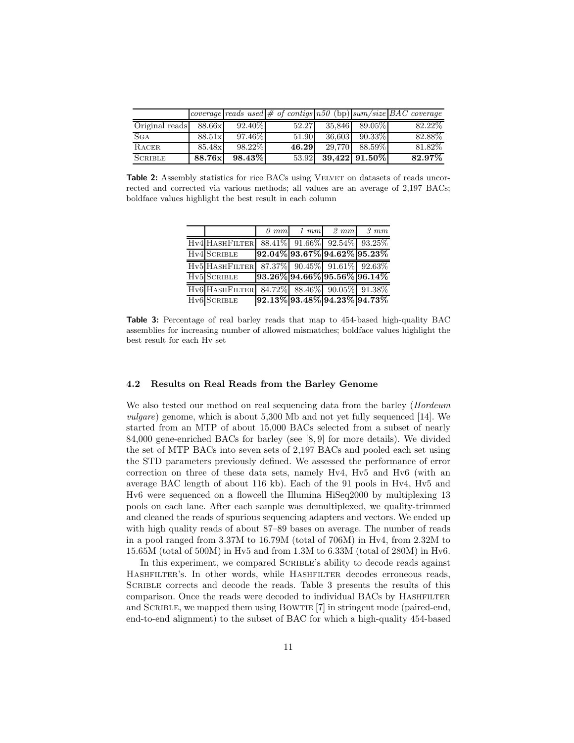|                |        |           |       |        |               | $\vert \textit{coverage} \vert \textit{reads used} \vert \textit{\# of contigs} \vert n50 \rangle$ (bp) $\vert \textit{sum/size} \vert BAC \textit{coverage} \vert n50 \rangle$ |
|----------------|--------|-----------|-------|--------|---------------|---------------------------------------------------------------------------------------------------------------------------------------------------------------------------------|
| Original reads | 88.66x | $92.40\%$ | 52.27 | 35.846 | 89.05%        | 82.22\%                                                                                                                                                                         |
| <b>SGA</b>     | 88.51x | 97.46\%   | 51.90 | 36.603 | $90.33\%$     | 82.88%                                                                                                                                                                          |
| <b>RACER</b>   | 85.48x | 98.22%    | 46.29 | 29.770 | 88.59%        | 81.82\%                                                                                                                                                                         |
| <b>SCRIBLE</b> | 88.76x | 98.43%    | 53.92 |        | 39,422 91.50% | 82.97%                                                                                                                                                                          |

Table 2: Assembly statistics for rice BACs using Velvet on datasets of reads uncorrected and corrected via various methods; all values are an average of 2,197 BACs; boldface values highlight the best result in each column

|                         |                                         | $0 \text{ mm}$ $1 \text{ mm}$ | $2 \;mm$                    | $3 \; mm$ |
|-------------------------|-----------------------------------------|-------------------------------|-----------------------------|-----------|
| Hv4 HASHFILTER          |                                         |                               | 88.41% 91.66% 92.54% 93.25% |           |
| Hv4 SCRIBLE             | 92.04% 93.67% 94.62% 95.23%             |                               |                             |           |
| Hv5 HASHFILTER          |                                         |                               | 87.37% 90.45% 91.61% 92.63% |           |
| Hv5 SCRIBLE             | 93.26% 94.66% 95.56% 96.14%             |                               |                             |           |
| Hv6 HASHFILTER          |                                         |                               | 84.72% 88.46% 90.05% 91.38% |           |
| Hv <sub>6</sub> SCRIBLE | $92.13\%$ $93.48\%$ $94.23\%$ $94.73\%$ |                               |                             |           |

Table 3: Percentage of real barley reads that map to 454-based high-quality BAC assemblies for increasing number of allowed mismatches; boldface values highlight the best result for each Hv set

#### 4.2 Results on Real Reads from the Barley Genome

We also tested our method on real sequencing data from the barley (*Hordeum* vulgare) genome, which is about 5,300 Mb and not yet fully sequenced [14]. We started from an MTP of about 15,000 BACs selected from a subset of nearly 84,000 gene-enriched BACs for barley (see [8, 9] for more details). We divided the set of MTP BACs into seven sets of 2,197 BACs and pooled each set using the STD parameters previously defined. We assessed the performance of error correction on three of these data sets, namely Hv4, Hv5 and Hv6 (with an average BAC length of about 116 kb). Each of the 91 pools in Hv4, Hv5 and Hv6 were sequenced on a flowcell the Illumina HiSeq2000 by multiplexing 13 pools on each lane. After each sample was demultiplexed, we quality-trimmed and cleaned the reads of spurious sequencing adapters and vectors. We ended up with high quality reads of about 87–89 bases on average. The number of reads in a pool ranged from 3.37M to 16.79M (total of 706M) in Hv4, from 2.32M to 15.65M (total of 500M) in Hv5 and from 1.3M to 6.33M (total of 280M) in Hv6.

In this experiment, we compared SCRIBLE's ability to decode reads against HASHFILTER's. In other words, while HASHFILTER decodes erroneous reads, SCRIBLE corrects and decode the reads. Table 3 presents the results of this comparison. Once the reads were decoded to individual BACs by HASHFILTER and SCRIBLE, we mapped them using BOWTIE [7] in stringent mode (paired-end, end-to-end alignment) to the subset of BAC for which a high-quality 454-based